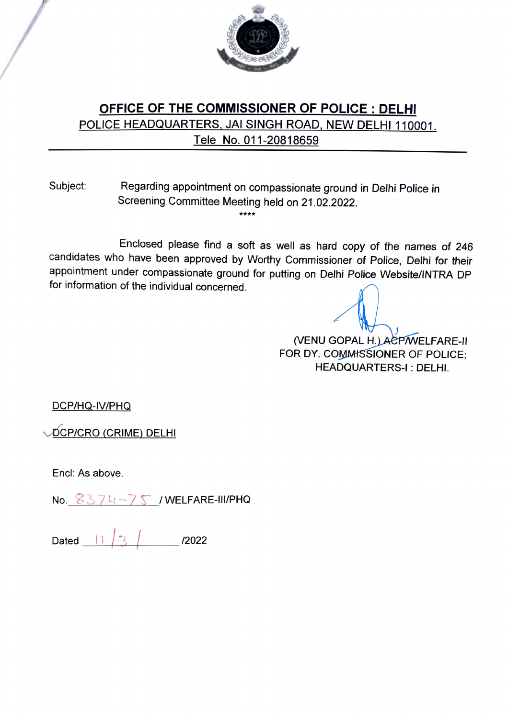

## OFFICE OF THE COMMISSIONER OF POLICE: DELHI POLICE HEADQUARTERS, JAI SINGH ROAD, NEW DELHI 110001 Tele No. 011-20818659

## Subject: Regarding appointment on compassionate ground in Delhi Police i Screening Committee Meeting held on 21.02.2022.

Enclosed please find a soft as well as hard copy of the names of 246 candidates who have been approved by Worthy Commissioner of Police, Delhi for their appointment under compassionate ground for putting on Delhi Police Website/INTRA DP for information of the individual concerned.

(VENU GOPAL H,)AÈPWELFARE-II

FOR DY. COMMISSIONER OF POLICE; HEADQUARTERS-I: DELHI.

DCP/HQ-IV/PHQ

DCP/CRO (CRIME) DELHI

Encl: As above.

No.  $8374-75$  / WELFARE-III/PHQ

Dated 3L /2022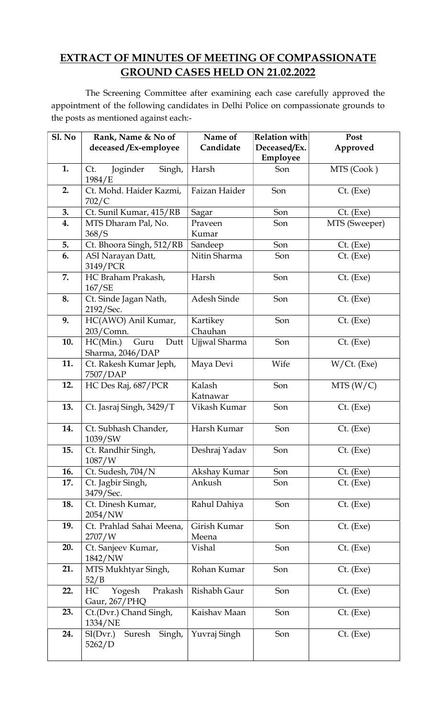## EXTRACT OF MINUTES OF MEETING OF COMPASSIONATE GROUND CASES HELD ON 21.02.2022

 The Screening Committee after examining each case carefully approved the appointment of the following candidates in Delhi Police on compassionate grounds to the posts as mentioned against each:-

| <b>Sl. No</b> | Rank, Name & No of                           | Name of               | <b>Relation with</b>     | Post          |
|---------------|----------------------------------------------|-----------------------|--------------------------|---------------|
|               | deceased/Ex-employee                         | Candidate             | Deceased/Ex.<br>Employee | Approved      |
| 1.            | Joginder<br>Singh,<br>Ct.<br>1984/E          | Harsh                 | Son                      | MTS (Cook)    |
| 2.            | Ct. Mohd. Haider Kazmi,<br>702/C             | Faizan Haider         | Son                      | $Ct.$ (Exe)   |
| 3.            | Ct. Sunil Kumar, 415/RB                      | Sagar                 | Son                      | $Ct.$ (Exe)   |
| 4.            | MTS Dharam Pal, No.<br>368/S                 | Praveen<br>Kumar      | Son                      | MTS (Sweeper) |
| 5.            | Ct. Bhoora Singh, 512/RB                     | Sandeep               | Son                      | $Ct.$ (Exe)   |
| 6.            | ASI Narayan Datt,                            | Nitin Sharma          | Son                      | $Ct.$ (Exe)   |
|               | 3149/PCR                                     |                       |                          |               |
| 7.            | HC Braham Prakash,<br>167/SE                 | Harsh                 | Son                      | Ct. (Exe)     |
| 8.            | Ct. Sinde Jagan Nath,<br>2192/Sec.           | Adesh Sinde           | Son                      | $Ct.$ (Exe)   |
| 9.            | HC(AWO) Anil Kumar,<br>203/Comn.             | Kartikey<br>Chauhan   | Son                      | $Ct.$ (Exe)   |
| 10.           | HC(Min.)<br>Guru<br>Dutt<br>Sharma, 2046/DAP | Ujjwal Sharma         | Son                      | $Ct.$ (Exe)   |
| 11.           | Ct. Rakesh Kumar Jeph,<br>7507/DAP           | Maya Devi             | Wife                     | $W/Ct.$ (Exe) |
| 12.           | HC Des Raj, 687/PCR                          | Kalash<br>Katnawar    | Son                      | MTS(W/C)      |
| 13.           | Ct. Jasraj Singh, 3429/T                     | Vikash Kumar          | Son                      | $Ct.$ (Exe)   |
| 14.           | Ct. Subhash Chander,<br>1039/SW              | Harsh Kumar           | Son                      | $Ct.$ (Exe)   |
| 15.           | Ct. Randhir Singh,<br>1087/W                 | Deshraj Yadav         | Son                      | $Ct.$ (Exe)   |
| 16.           | Ct. Sudesh, 704/N                            | Akshay Kumar          | Son                      | $Ct.$ (Exe)   |
| 17.           | Ct. Jagbir Singh,<br>3479/Sec.               | Ankush                | Son                      | $Ct.$ (Exe)   |
| 18.           | Ct. Dinesh Kumar,<br>2054/NW                 | Rahul Dahiya          | Son                      | $Ct.$ (Exe)   |
| 19.           | Ct. Prahlad Sahai Meena,<br>2707/W           | Girish Kumar<br>Meena | Son                      | $Ct.$ (Exe)   |
| 20.           | Ct. Sanjeev Kumar,<br>1842/NW                | Vishal                | Son                      | $Ct.$ (Exe)   |
| 21.           | MTS Mukhtyar Singh,<br>52/B                  | Rohan Kumar           | Son                      | $Ct.$ (Exe)   |
| 22.           | Yogesh<br>HC<br>Prakash<br>Gaur, 267/PHQ     | Rishabh Gaur          | Son                      | $Ct.$ (Exe)   |
| 23.           | Ct.(Dvr.) Chand Singh,<br>1334/NE            | Kaishav Maan          | Son                      | $Ct.$ (Exe)   |
| 24.           | SI(Dvr.) Suresh Singh,<br>5262/D             | Yuvraj Singh          | Son                      | $Ct.$ (Exe)   |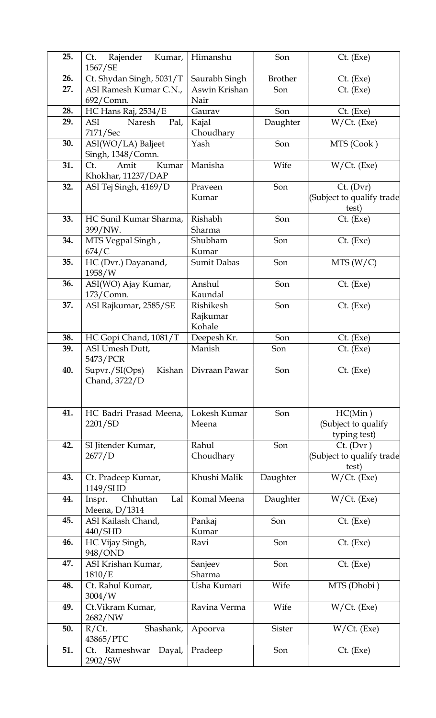| 25. | Rajender<br>Kumar,<br>Ct.<br>1567/SE       | Himanshu                        | Son            | $Ct.$ (Exe)                                       |
|-----|--------------------------------------------|---------------------------------|----------------|---------------------------------------------------|
| 26. | Ct. Shydan Singh, 5031/T                   | Saurabh Singh                   | <b>Brother</b> | $Ct.$ (Exe)                                       |
| 27. | ASI Ramesh Kumar C.N.,<br>692/Comn.        | Aswin Krishan<br>Nair           | Son            | $Ct.$ (Exe)                                       |
| 28. | HC Hans Raj, 2534/E                        | Gaurav                          | Son            | $Ct.$ (Exe)                                       |
| 29. | Naresh<br>ASI<br>Pal,<br>7171/Sec          | Kajal<br>Choudhary              | Daughter       | $W/$ Ct. (Exe)                                    |
| 30. | ASI(WO/LA) Baljeet<br>Singh, 1348/Comn.    | Yash                            | Son            | MTS (Cook)                                        |
| 31. | Ct.<br>Amit<br>Kumar<br>Khokhar, 11237/DAP | Manisha                         | Wife           | $W/Ct.$ (Exe)                                     |
| 32. | ASI Tej Singh, 4169/D                      | Praveen<br>Kumar                | Son            | $Ct.$ (Dvr)<br>(Subject to qualify trade<br>test) |
| 33. | HC Sunil Kumar Sharma,<br>399/NW.          | Rishabh<br>Sharma               | Son            | $Ct.$ (Exe)                                       |
| 34. | MTS Vegpal Singh,<br>674/C                 | Shubham<br>Kumar                | Son            | $Ct.$ (Exe)                                       |
| 35. | HC (Dvr.) Dayanand,<br>1958/W              | Sumit Dabas                     | Son            | MTS(W/C)                                          |
| 36. | ASI(WO) Ajay Kumar,<br>173/Comn.           | Anshul<br>Kaundal               | Son            | $Ct.$ (Exe)                                       |
| 37. | ASI Rajkumar, 2585/SE                      | Rishikesh<br>Rajkumar<br>Kohale | Son            | $Ct.$ (Exe)                                       |
| 38. | HC Gopi Chand, 1081/T                      | Deepesh Kr.                     | Son            | $Ct.$ (Exe)                                       |
| 39. | ASI Umesh Dutt,<br>5473/PCR                | Manish                          | Son            | $Ct.$ (Exe)                                       |
| 40. | Supvr./SI(Ops) Kishan<br>Chand, 3722/D     | Divraan Pawar                   | Son            | $Ct.$ (Exe)                                       |
| 41. | HC Badri Prasad Meena,<br>2201/SD          | Lokesh Kumar<br>Meena           | Son            | HC(Min)<br>(Subject to qualify<br>typing test)    |
| 42. | SI Jitender Kumar,<br>2677/D               | Rahul<br>Choudhary              | Son            | $Ct.$ (Dvr)<br>(Subject to qualify trade<br>test) |
| 43. | Ct. Pradeep Kumar,<br>1149/SHD             | Khushi Malik                    | Daughter       | $W/$ Ct. (Exe)                                    |
| 44. | Inspr.<br>Chhuttan<br>Lal<br>Meena, D/1314 | Komal Meena                     | Daughter       | $W/Ct.$ (Exe)                                     |
| 45. | ASI Kailash Chand,<br>440/SHD              | Pankaj<br>Kumar                 | Son            | $Ct.$ (Exe)                                       |
| 46. | HC Vijay Singh,<br>948/OND                 | Ravi                            | Son            | $Ct.$ (Exe)                                       |
| 47. | ASI Krishan Kumar,<br>1810/E               | Sanjeev<br>Sharma               | Son            | $Ct.$ (Exe)                                       |
| 48. | Ct. Rahul Kumar,<br>3004/W                 | Usha Kumari                     | Wife           | MTS (Dhobi)                                       |
| 49. | Ct. Vikram Kumar,<br>2682/NW               | Ravina Verma                    | Wife           | $W/Ct.$ (Exe)                                     |
| 50. | Shashank,<br>$R/Ct$ .<br>43865/PTC         | Apoorva                         | <b>Sister</b>  | $W/$ Ct. (Exe)                                    |
| 51. | Ct. Rameshwar<br>Dayal,<br>2902/SW         | Pradeep                         | Son            | $Ct.$ (Exe)                                       |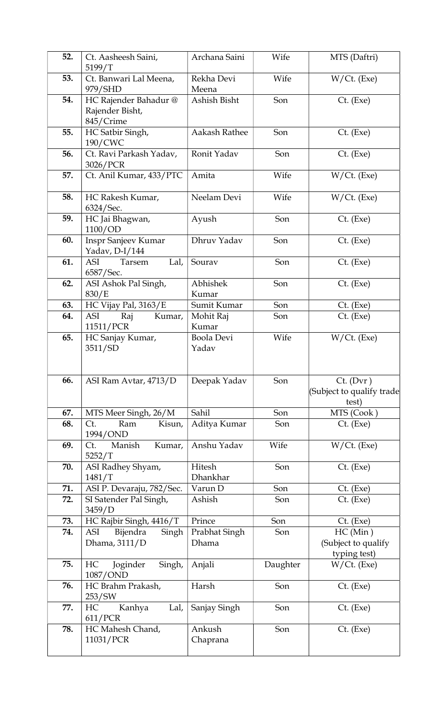| 52. | Ct. Aasheesh Saini,<br>5199/T                                   | Archana Saini         | Wife     | MTS (Daftri)                                      |
|-----|-----------------------------------------------------------------|-----------------------|----------|---------------------------------------------------|
| 53. | Ct. Banwari Lal Meena,                                          | Rekha Devi            | Wife     | $W/Ct.$ (Exe)                                     |
| 54. | 979/SHD<br>HC Rajender Bahadur@<br>Rajender Bisht,<br>845/Crime | Meena<br>Ashish Bisht | Son      | $Ct.$ (Exe)                                       |
| 55. | HC Satbir Singh,<br>190/CWC                                     | Aakash Rathee         | Son      | $Ct.$ (Exe)                                       |
| 56. | Ct. Ravi Parkash Yadav,<br>3026/PCR                             | Ronit Yadav           | Son      | $Ct.$ (Exe)                                       |
| 57. | Ct. Anil Kumar, 433/PTC                                         | Amita                 | Wife     | $W/Ct.$ (Exe)                                     |
| 58. | HC Rakesh Kumar,<br>6324/Sec.                                   | Neelam Devi           | Wife     | $W/Ct.$ (Exe)                                     |
| 59. | HC Jai Bhagwan,<br>1100/OD                                      | Ayush                 | Son      | $Ct.$ (Exe)                                       |
| 60. | Inspr Sanjeev Kumar<br>Yadav, D-I/144                           | Dhruv Yadav           | Son      | $Ct.$ (Exe)                                       |
| 61. | ASI<br>Tarsem<br>Lal,<br>6587/Sec.                              | Sourav                | Son      | $Ct.$ (Exe)                                       |
| 62. | ASI Ashok Pal Singh,<br>830/E                                   | Abhishek<br>Kumar     | Son      | $Ct.$ (Exe)                                       |
| 63. | HC Vijay Pal, 3163/E                                            | Sumit Kumar           | Son      | $Ct.$ (Exe)                                       |
| 64. | ASI<br>Kumar,<br>Raj<br>11511/PCR                               | Mohit Raj<br>Kumar    | Son      | $Ct.$ (Exe)                                       |
| 65. | HC Sanjay Kumar,<br>3511/SD                                     | Boola Devi<br>Yadav   | Wife     | $W/Ct.$ (Exe)                                     |
| 66. | ASI Ram Avtar, 4713/D                                           | Deepak Yadav          | Son      | $Ct.$ (Dvr)<br>(Subject to qualify trade<br>test) |
| 67. | MTS Meer Singh, 26/M                                            | Sahil                 | Son      | MTS (Cook)                                        |
| 68. | Ram<br>Ct.<br>Kisun,<br>1994/OND                                | Aditya Kumar          | Son      | Ct. (Exe)                                         |
| 69. | Manish<br>Kumar,<br>Ct.<br>5252/T                               | Anshu Yadav           | Wife     | $W/Ct.$ (Exe)                                     |
| 70. | ASI Radhey Shyam,<br>1481/T                                     | Hitesh<br>Dhankhar    | Son      | $Ct.$ (Exe)                                       |
| 71. | ASI P. Devaraju, 782/Sec.                                       | Varun D               | Son      | $Ct.$ (Exe)                                       |
| 72. | SI Satender Pal Singh,<br>3459/D                                | Ashish                | Son      | $Ct.$ (Exe)                                       |
| 73. | HC Rajbir Singh, 4416/T                                         | Prince                | Son      | $Ct.$ (Exe)                                       |
| 74. | Bijendra<br><b>ASI</b><br>Singh                                 | Prabhat Singh         | Son      | HC (Min)                                          |
|     | Dhama, 3111/D                                                   | Dhama                 |          | (Subject to qualify<br>typing test)               |
| 75. | HC<br>Joginder<br>Singh,<br>1087/OND                            | Anjali                | Daughter | $W/$ Ct. (Exe)                                    |
| 76. | HC Brahm Prakash,<br>253/SW                                     | Harsh                 | Son      | $Ct.$ (Exe)                                       |
| 77. | Kanhya<br>HC<br>Lal,<br>611/PCR                                 | Sanjay Singh          | Son      | $Ct.$ (Exe)                                       |
| 78. | HC Mahesh Chand,<br>11031/PCR                                   | Ankush<br>Chaprana    | Son      | $Ct.$ (Exe)                                       |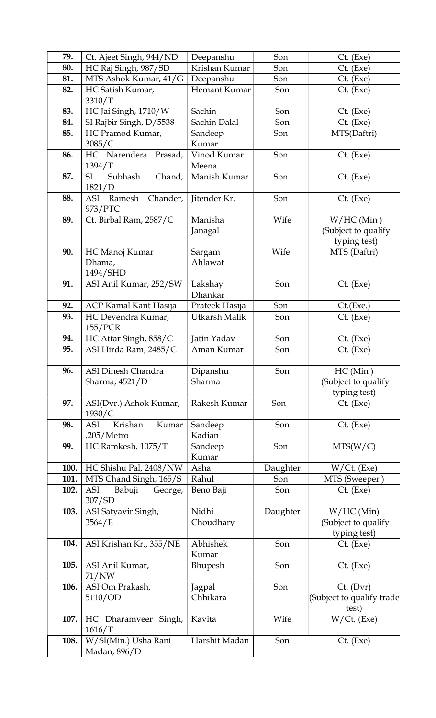| 79.  | Ct. Ajeet Singh, 944/ND               | Deepanshu            | Son      | $Ct.$ (Exe)                                         |
|------|---------------------------------------|----------------------|----------|-----------------------------------------------------|
| 80.  | HC Raj Singh, 987/SD                  | Krishan Kumar        | Son      | $Ct.$ (Exe)                                         |
| 81.  | MTS Ashok Kumar, 41/G                 | Deepanshu            | Son      | $Ct.$ (Exe)                                         |
| 82.  | HC Satish Kumar,<br>3310/T            | <b>Hemant Kumar</b>  | Son      | $Ct.$ (Exe)                                         |
| 83.  | HC Jai Singh, 1710/W                  | Sachin               | Son      | $Ct.$ (Exe)                                         |
| 84.  | SI Rajbir Singh, D/5538               | Sachin Dalal         | Son      | $Ct.$ (Exe)                                         |
| 85.  | HC Pramod Kumar,<br>3085/C            | Sandeep<br>Kumar     | Son      | MTS(Daftri)                                         |
| 86.  | HC Narendera<br>Prasad,<br>1394/T     | Vinod Kumar<br>Meena | Son      | $Ct.$ (Exe)                                         |
| 87.  | Subhash<br>SI<br>Chand,<br>1821/D     | Manish Kumar         | Son      | $Ct.$ (Exe)                                         |
| 88.  | ASI<br>Ramesh<br>Chander,<br>973/PTC  | Jitender Kr.         | Son      | $Ct.$ (Exe)                                         |
| 89.  | Ct. Birbal Ram, 2587/C                | Manisha<br>Janagal   | Wife     | $W/HC$ (Min)<br>(Subject to qualify<br>typing test) |
| 90.  | HC Manoj Kumar<br>Dhama,<br>1494/SHD  | Sargam<br>Ahlawat    | Wife     | MTS (Daftri)                                        |
| 91.  | ASI Anil Kumar, 252/SW                | Lakshay<br>Dhankar   | Son      | $Ct.$ (Exe)                                         |
| 92.  | <b>ACP Kamal Kant Hasija</b>          | Prateek Hasija       | Son      | Ct.(Exe.)                                           |
| 93.  | HC Devendra Kumar,<br>155/PCR         | Utkarsh Malik        | Son      | $Ct.$ (Exe)                                         |
| 94.  | HC Attar Singh, 858/C                 | Jatin Yadav          | Son      | $Ct.$ (Exe)                                         |
| 95.  | ASI Hirda Ram, 2485/C                 | Aman Kumar           | Son      | $Ct.$ (Exe)                                         |
| 96.  | ASI Dinesh Chandra<br>Sharma, 4521/D  | Dipanshu<br>Sharma   | Son      | HC (Min)<br>(Subject to qualify<br>typing test)     |
| 97.  | ASI(Dvr.) Ashok Kumar,<br>1930/C      | Rakesh Kumar         | Son      | $Ct.$ (Exe)                                         |
| 98.  | Krishan<br>ASI<br>Kumar<br>,205/Metro | Sandeep<br>Kadian    | Son      | $Ct.$ (Exe)                                         |
| 99.  | HC Ramkesh, 1075/T                    | Sandeep<br>Kumar     | Son      | MTS(W/C)                                            |
| 100. | HC Shishu Pal, 2408/NW                | Asha                 | Daughter | $W/Ct.$ (Exe)                                       |
| 101. | MTS Chand Singh, 165/S                | Rahul                | Son      | MTS (Sweeper)                                       |
| 102. | ASI<br>Babuji<br>George,<br>307/SD    | Beno Baji            | Son      | $Ct.$ (Exe)                                         |
| 103. | ASI Satyavir Singh,<br>3564/E         | Nidhi<br>Choudhary   | Daughter | $W/HC$ (Min)<br>(Subject to qualify<br>typing test) |
| 104. | ASI Krishan Kr., 355/NE               | Abhishek<br>Kumar    | Son      | $Ct.$ (Exe)                                         |
| 105. | ASI Anil Kumar,<br>71/NW              | Bhupesh              | Son      | $Ct.$ (Exe)                                         |
| 106. | ASI Om Prakash,<br>5110/OD            | Jagpal<br>Chhikara   | Son      | Ct. (Dvr)<br>(Subject to qualify trade<br>test)     |
| 107. | HC Dharamveer Singh,<br>1616/T        | Kavita               | Wife     | $W/Ct.$ (Exe)                                       |
| 108. | W/SI(Min.) Usha Rani<br>Madan, 896/D  | Harshit Madan        | Son      | $Ct.$ (Exe)                                         |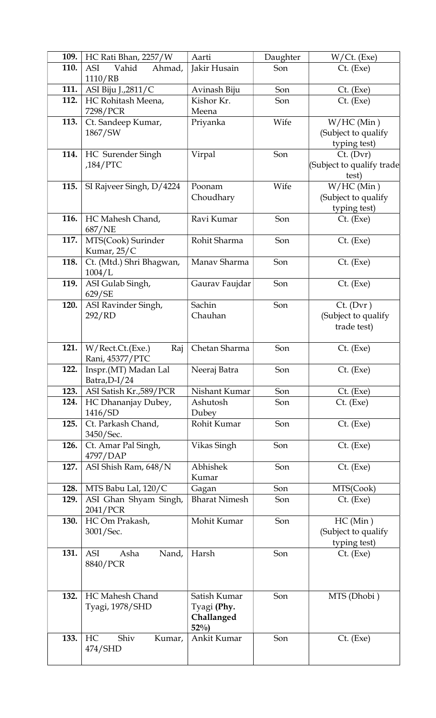| 109. | HC Rati Bhan, 2257/W      | Aarti                | Daughter | $W/Ct.$ (Exe)             |
|------|---------------------------|----------------------|----------|---------------------------|
| 110. | Vahid<br>ASI<br>Ahmad,    | Jakir Husain         | Son      | $Ct.$ (Exe)               |
|      | 1110/RB                   |                      |          |                           |
| 111. | ASI Biju J., 2811/C       | Avinash Biju         | Son      | $Ct.$ (Exe)               |
| 112. | HC Rohitash Meena,        | Kishor Kr.           | Son      | $Ct.$ (Exe)               |
|      | 7298/PCR                  | Meena                |          |                           |
| 113. | Ct. Sandeep Kumar,        | Priyanka             | Wife     | $W/HC$ (Min)              |
|      | 1867/SW                   |                      |          | (Subject to qualify       |
|      |                           |                      |          | typing test)              |
| 114. | HC Surender Singh         | Virpal               | Son      | $Ct.$ (Dvr)               |
|      | $,184/$ PTC               |                      |          | (Subject to qualify trade |
|      |                           |                      |          | test)                     |
| 115. |                           | Poonam               | Wife     |                           |
|      | SI Rajveer Singh, D/4224  |                      |          | $W/HC$ (Min)              |
|      |                           | Choudhary            |          | (Subject to qualify       |
|      |                           |                      |          | typing test)              |
| 116. | HC Mahesh Chand,          | Ravi Kumar           | Son      | $Ct.$ (Exe)               |
|      | 687/NE                    |                      |          |                           |
| 117. | MTS(Cook) Surinder        | Rohit Sharma         | Son      | $Ct.$ (Exe)               |
|      | Kumar, 25/C               |                      |          |                           |
| 118. | Ct. (Mtd.) Shri Bhagwan,  | Manav Sharma         | Son      | $Ct.$ (Exe)               |
|      | 1004/L                    |                      |          |                           |
| 119. | ASI Gulab Singh,          | Gaurav Faujdar       | Son      | $Ct.$ (Exe)               |
|      | 629/SE                    |                      |          |                           |
| 120. | ASI Ravinder Singh,       | Sachin               | Son      | $Ct.$ (Dvr)               |
|      | 292/RD                    | Chauhan              |          | (Subject to qualify       |
|      |                           |                      |          | trade test)               |
|      |                           |                      |          |                           |
| 121. | W/Rect.Ct.(Exe.)<br>Raj   | Chetan Sharma        | Son      | $Ct.$ (Exe)               |
|      | Rani, 45377/PTC           |                      |          |                           |
| 122. | Inspr.(MT) Madan Lal      | Neeraj Batra         | Son      | $Ct.$ (Exe)               |
|      | Batra, $D-I/24$           |                      |          |                           |
| 123. | ASI Satish Kr., 589 / PCR | Nishant Kumar        | Son      | $Ct.$ (Exe)               |
| 124. | HC Dhananjay Dubey,       | Ashutosh             | Son      | $Ct.$ (Exe)               |
|      | 1416/SD                   | Dubey                |          |                           |
| 125. | Ct. Parkash Chand,        | Rohit Kumar          | Son      | $Ct.$ (Exe)               |
|      | 3450/Sec.                 |                      |          |                           |
| 126. | Ct. Amar Pal Singh,       | Vikas Singh          | Son      | $Ct.$ (Exe)               |
|      | 4797/DAP                  |                      |          |                           |
| 127. | ASI Shish Ram, 648/N      | Abhishek             | Son      | $Ct.$ (Exe)               |
|      |                           | Kumar                |          |                           |
| 128. | MTS Babu Lal, 120/C       | Gagan                | Son      | MTS(Cook)                 |
| 129. | ASI Ghan Shyam Singh,     | <b>Bharat Nimesh</b> | Son      | $Ct.$ (Exe)               |
|      | 2041/PCR                  |                      |          |                           |
| 130. | HC Om Prakash,            | Mohit Kumar          | Son      | HC (Min)                  |
|      |                           |                      |          |                           |
|      | 3001/Sec.                 |                      |          | (Subject to qualify       |
|      |                           |                      |          | typing test)              |
| 131. | ASI<br>Asha<br>Nand,      | Harsh                | Son      | $Ct.$ (Exe)               |
|      | 8840/PCR                  |                      |          |                           |
|      |                           |                      |          |                           |
|      |                           |                      |          |                           |
| 132. | <b>HC Mahesh Chand</b>    | Satish Kumar         | Son      | MTS (Dhobi)               |
|      | Tyagi, 1978/SHD           | Tyagi (Phy.          |          |                           |
|      |                           | Challanged           |          |                           |
|      |                           | $52\%$               |          |                           |
| 133. | HC<br>Shiv<br>Kumar,      | Ankit Kumar          | Son      | $Ct.$ (Exe)               |
|      | 474/SHD                   |                      |          |                           |
|      |                           |                      |          |                           |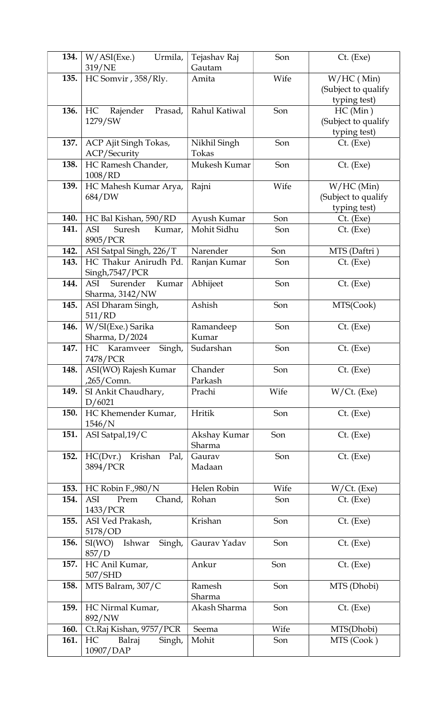| 134.        | W/ASI(Exe.)<br>Urmila,<br>319/NE           | Tejashav Raj<br>Gautam | Son  | $Ct.$ (Exe)                                         |
|-------------|--------------------------------------------|------------------------|------|-----------------------------------------------------|
| 135.        | HC Somvir, 358/Rly.                        | Amita                  | Wife | $W/HC$ (Min)<br>(Subject to qualify<br>typing test) |
| 136.        | HC<br>Rajender<br>Prasad,<br>1279/SW       | Rahul Katiwal          | Son  | HC (Min)<br>(Subject to qualify<br>typing test)     |
| 137.        | ACP Ajit Singh Tokas,<br>ACP/Security      | Nikhil Singh<br>Tokas  | Son  | $Ct.$ (Exe)                                         |
| 138.        | HC Ramesh Chander,<br>1008/RD              | Mukesh Kumar           | Son  | $Ct.$ (Exe)                                         |
| 139.        | HC Mahesh Kumar Arya,<br>684/DW            | Rajni                  | Wife | $W/HC$ (Min)<br>(Subject to qualify<br>typing test) |
| 140.        | HC Bal Kishan, 590/RD                      | Ayush Kumar            | Son  | $Ct.$ (Exe)                                         |
| 141.        | ASI<br>Suresh<br>Kumar,<br>8905/PCR        | Mohit Sidhu            | Son  | $Ct.$ (Exe)                                         |
| 142.        | ASI Satpal Singh, 226/T                    | Narender               | Son  | MTS (Daftri)                                        |
| 143.        | HC Thakur Anirudh Pd.<br>Singh, 7547 / PCR | Ranjan Kumar           | Son  | $Ct.$ (Exe)                                         |
| 144.        | ASI<br>Surender Kumar<br>Sharma, 3142/NW   | Abhijeet               | Son  | $Ct.$ (Exe)                                         |
| 145.        | ASI Dharam Singh,<br>511/RD                | Ashish                 | Son  | MTS(Cook)                                           |
| 146.        | W/SI(Exe.) Sarika<br>Sharma, D/2024        | Ramandeep<br>Kumar     | Son  | $Ct.$ (Exe)                                         |
| 147.        | HC Karamveer<br>Singh,<br>7478/PCR         | Sudarshan              | Son  | $Ct.$ (Exe)                                         |
| 148.        | ASI(WO) Rajesh Kumar<br>,265/Comn.         | Chander<br>Parkash     | Son  | $Ct.$ (Exe)                                         |
| 149.        | SI Ankit Chaudhary,<br>D/6021              | Prachi                 | Wife | $W/Ct.$ (Exe)                                       |
| 150.        | HC Khemender Kumar,<br>1546/N              | Hritik                 | Son  | $Ct.$ (Exe)                                         |
| 151.        | ASI Satpal, 19/C                           | Akshay Kumar<br>Sharma | Son  | $Ct.$ (Exe)                                         |
| 152.        | HC(Dvr.)<br>Krishan<br>Pal,<br>3894/PCR    | Gaurav<br>Madaan       | Son  | $Ct.$ (Exe)                                         |
| 153.        | HC Robin F.,980/N                          | Helen Robin            | Wife | $W/Ct.$ (Exe)                                       |
| 154.        | <b>ASI</b><br>Prem<br>Chand,<br>1433/PCR   | Rohan                  | Son  | $Ct.$ (Exe)                                         |
| 155.        | ASI Ved Prakash,<br>5178/OD                | Krishan                | Son  | $Ct.$ (Exe)                                         |
| 156.        | SI(WO)<br>Ishwar<br>Singh,<br>857/D        | Gaurav Yadav           | Son  | $Ct.$ (Exe)                                         |
| 157.        | HC Anil Kumar,<br>507/SHD                  | Ankur                  | Son  | $Ct.$ (Exe)                                         |
| 158.        | MTS Balram, 307/C                          | Ramesh<br>Sharma       | Son  | MTS (Dhobi)                                         |
| 159.        | HC Nirmal Kumar,<br>892/NW                 | Akash Sharma           | Son  | $Ct.$ (Exe)                                         |
| <b>160.</b> | Ct.Raj Kishan, 9757/PCR                    | Seema                  | Wife | MTS(Dhobi)                                          |
| 161.        | HC<br>Balraj<br>Singh,<br>10907/DAP        | Mohit                  | Son  | MTS (Cook)                                          |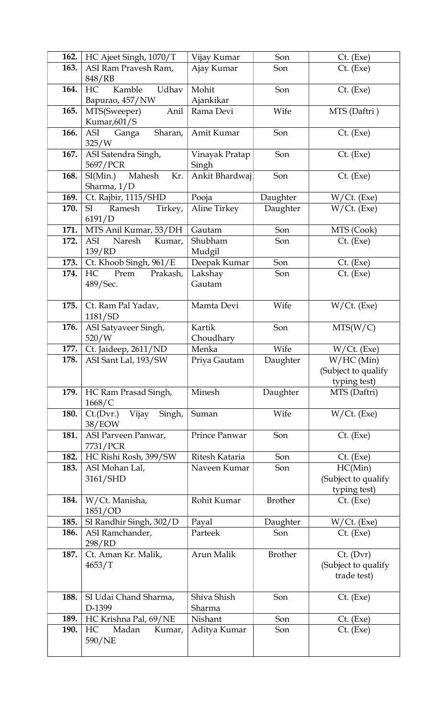| 162.        | HC Ajeet Singh, 1070/T            | Vijay Kumar    | Son            | $Ct.$ (Exe)         |
|-------------|-----------------------------------|----------------|----------------|---------------------|
| 163.        | ASI Ram Pravesh Ram,              | Ajay Kumar     | Son            | $Ct.$ (Exe)         |
|             | 848/RB                            |                |                |                     |
| 164.        | Kamble<br>Udhav<br>HC             | Mohit          | Son            | Ct. (Exe)           |
|             | Bapurao, 457/NW                   | Ajankikar      |                |                     |
| 165.        | MTS(Sweeper)<br>Anil              | Rama Devi      | Wife           | MTS (Daftri)        |
|             | Kumar, 601/S                      |                |                |                     |
| 166.        | Sharan,<br>ASI<br>Ganga           | Amit Kumar     | Son            | $Ct.$ (Exe)         |
|             | 325/W                             |                |                |                     |
| 167.        | ASI Satendra Singh,               | Vinayak Pratap | Son            | Ct. (Exe)           |
|             | 5697/PCR                          | Singh          |                |                     |
| 168.        | Mahesh<br>SI(Min.)<br>Kr.         | Ankit Bhardwaj | Son            | $Ct.$ (Exe)         |
|             | Sharma, $1/D$                     |                |                |                     |
| 169.        | Ct. Rajbir, 1115/SHD              | Pooja          | Daughter       | $W/Ct.$ (Exe)       |
| 170.        | Tirkey,<br>SI<br>Ramesh           | Aline Tirkey   | Daughter       | $W/$ Ct. (Exe)      |
|             | 6191/D                            |                |                |                     |
| 171.        | MTS Anil Kumar, 53/DH             | Gautam         | Son            | MTS (Cook)          |
| 172.        | ASI<br>Naresh<br>Kumar,           | Shubham        | Son            | $Ct.$ (Exe)         |
|             | 139/RD                            | Mudgil         |                |                     |
| 173.        | Ct. Khoob Singh, 961/E            | Deepak Kumar   | Son            | Ct. (Exe)           |
| 174.        | HC<br>Prem<br>Prakash,            | Lakshay        | Son            | $Ct.$ (Exe)         |
|             | 489/Sec.                          | Gautam         |                |                     |
|             |                                   |                |                |                     |
| 175.        | Ct. Ram Pal Yadav,                | Mamta Devi     | Wife           | $W/Ct.$ (Exe)       |
| 176.        | 1181/SD<br>ASI Satyaveer Singh,   | Kartik         | Son            | MTS(W/C)            |
|             | 520/W                             | Choudhary      |                |                     |
| 177.        | Ct. Jaideep, 2611/ND              | Menka          | Wife           | $W/Ct.$ (Exe)       |
|             | ASI Sant Lal, 193/SW              | Priya Gautam   | Daughter       | $W/HC$ (Min)        |
|             |                                   |                |                |                     |
| 178.        |                                   |                |                |                     |
|             |                                   |                |                | (Subject to qualify |
|             |                                   |                |                | typing test)        |
| 179.        | HC Ram Prasad Singh,              | Minesh         | Daughter       | MTS (Daftri)        |
|             | 1668/C                            |                |                |                     |
| 180.        | Vijay<br>Singh,<br>Ct.(Dvr.)      | Suman          | Wife           | W/Ct. (Exe)         |
| 181.        | 38/EOW                            | Prince Panwar  | Son            |                     |
|             | ASI Parveen Panwar,               |                |                | $Ct.$ (Exe)         |
| 182.        | 7731/PCR<br>HC Rishi Rosh, 399/SW | Ritesh Kataria | Son            | $Ct.$ (Exe)         |
| 183.        | ASI Mohan Lal,                    | Naveen Kumar   | Son            | HC(Min)             |
|             | 3161/SHD                          |                |                | (Subject to qualify |
|             |                                   |                |                | typing test)        |
| 184.        | W/Ct. Manisha,                    | Rohit Kumar    | <b>Brother</b> | $Ct.$ (Exe)         |
|             | 1851/OD                           |                |                |                     |
| 185.        | SI Randhir Singh, 302/D           | Payal          | Daughter       | $W/Ct.$ (Exe)       |
| 186.        | ASI Ramchander,                   | Parteek        | Son            | $Ct.$ (Exe)         |
|             | 298/RD                            |                |                |                     |
| 187.        | Ct. Aman Kr. Malik,               | Arun Malik     | <b>Brother</b> | Ct. (Dvr)           |
|             | 4653/T                            |                |                | (Subject to qualify |
|             |                                   |                |                | trade test)         |
|             |                                   |                |                |                     |
| 188.        | SI Udai Chand Sharma,             | Shiva Shish    | Son            | $Ct.$ (Exe)         |
|             | D-1399                            | Sharma         |                |                     |
| 189.        | HC Krishna Pal, 69/NE             | Nishant        | Son            | $Ct.$ (Exe)         |
| <b>190.</b> | HC<br>Madan<br>Kumar,             | Aditya Kumar   | Son            | $Ct.$ (Exe)         |
|             | 590/NE                            |                |                |                     |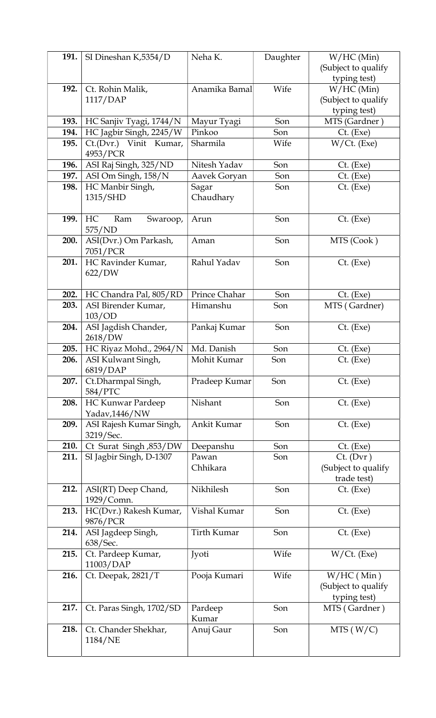| 191.        | SI Dineshan K,5354/D     | Neha K.            | Daughter | $W/HC$ (Min)        |
|-------------|--------------------------|--------------------|----------|---------------------|
|             |                          |                    |          | (Subject to qualify |
|             |                          |                    |          | typing test)        |
| 192.        | Ct. Rohin Malik,         | Anamika Bamal      | Wife     | $W/HC$ (Min)        |
|             | 1117/DAP                 |                    |          | (Subject to qualify |
|             |                          |                    |          | typing test)        |
| <b>193.</b> | HC Sanjiv Tyagi, 1744/N  | Mayur Tyagi        | Son      | MTS (Gardner)       |
| 194.        | HC Jagbir Singh, 2245/W  | Pinkoo             | Son      | $Ct.$ (Exe)         |
| 195.        | Ct.(Dvr.) Vinit Kumar,   | Sharmila           | Wife     | $W/$ Ct. (Exe)      |
|             | 4953/PCR                 |                    |          |                     |
| 196.        | ASI Raj Singh, 325/ND    | Nitesh Yadav       | Son      | Ct. (Exe)           |
| 197.        | ASI Om Singh, 158/N      | Aavek Goryan       | Son      | $Ct.$ (Exe)         |
| 198.        | HC Manbir Singh,         | Sagar              | Son      | $Ct.$ (Exe)         |
|             | 1315/SHD                 | Chaudhary          |          |                     |
|             |                          |                    |          |                     |
| 199.        | HC<br>Ram<br>Swaroop,    | Arun               | Son      | $Ct.$ (Exe)         |
|             | 575/ND                   |                    |          |                     |
| 200.        | ASI(Dvr.) Om Parkash,    | Aman               | Son      | MTS (Cook)          |
|             | 7051/PCR                 |                    |          |                     |
| 201.        | HC Ravinder Kumar,       | Rahul Yadav        | Son      | $Ct.$ (Exe)         |
|             | 622/DW                   |                    |          |                     |
|             |                          |                    |          |                     |
| 202.        | HC Chandra Pal, 805/RD   | Prince Chahar      | Son      | $Ct.$ (Exe)         |
| 203.        | ASI Birender Kumar,      | Himanshu           | Son      | MTS (Gardner)       |
|             | 103/OD                   |                    |          |                     |
| 204.        | ASI Jagdish Chander,     | Pankaj Kumar       | Son      | $Ct.$ (Exe)         |
|             | 2618/DW                  |                    |          |                     |
| 205.        | HC Riyaz Mohd., 2964/N   | Md. Danish         | Son      | $Ct.$ (Exe)         |
| 206.        | ASI Kulwant Singh,       | Mohit Kumar        | Son      | $Ct.$ (Exe)         |
|             | 6819/DAP                 |                    |          |                     |
| 207.        | Ct.Dharmpal Singh,       | Pradeep Kumar      | Son      | $Ct.$ (Exe)         |
|             | 584/PTC                  |                    |          |                     |
| 208.        | HC Kunwar Pardeep        | Nishant            | Son      | $Ct.$ (Exe)         |
|             | Yadav, 1446/NW           |                    |          |                     |
| 209.        | ASI Rajesh Kumar Singh,  | Ankit Kumar        | Son      | $Ct.$ (Exe)         |
|             | 3219/Sec.                |                    |          |                     |
| 210.        | Ct Surat Singh, 853/DW   | Deepanshu          | Son      | $Ct.$ (Exe)         |
| 211.        | SI Jagbir Singh, D-1307  | Pawan              | Son      | $Ct.$ (Dvr)         |
|             |                          | Chhikara           |          | (Subject to qualify |
|             |                          |                    |          | trade test)         |
| 212.        | ASI(RT) Deep Chand,      | Nikhilesh          | Son      | $Ct.$ (Exe)         |
|             | 1929/Comn.               |                    |          |                     |
| 213.        | HC(Dvr.) Rakesh Kumar,   | Vishal Kumar       | Son      | $Ct.$ (Exe)         |
|             | 9876/PCR                 |                    |          |                     |
| 214.        | ASI Jagdeep Singh,       | <b>Tirth Kumar</b> | Son      | Ct. (Exe)           |
|             | 638/Sec.                 |                    |          |                     |
| 215.        | Ct. Pardeep Kumar,       | Jyoti              | Wife     | $W/$ Ct. (Exe)      |
|             | 11003/DAP                |                    |          |                     |
| 216.        | Ct. Deepak, 2821/T       | Pooja Kumari       | Wife     | $W/HC$ (Min)        |
|             |                          |                    |          | (Subject to qualify |
|             |                          |                    |          | typing test)        |
| 217.        | Ct. Paras Singh, 1702/SD | Pardeep            | Son      | MTS (Gardner)       |
|             |                          | Kumar              |          |                     |
| 218.        | Ct. Chander Shekhar,     | Anuj Gaur          | Son      | MTS(W/C)            |
|             | 1184/NE                  |                    |          |                     |
|             |                          |                    |          |                     |
|             |                          |                    |          |                     |